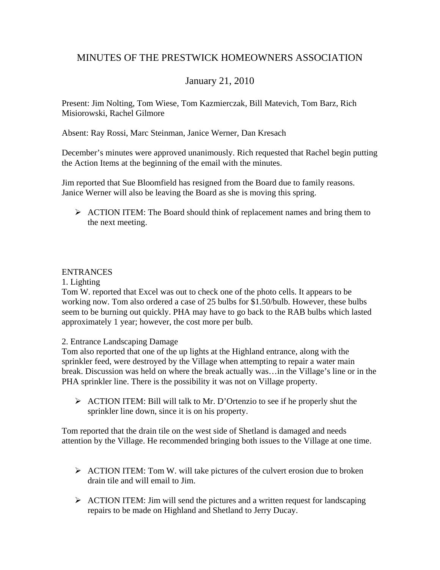# MINUTES OF THE PRESTWICK HOMEOWNERS ASSOCIATION

# January 21, 2010

Present: Jim Nolting, Tom Wiese, Tom Kazmierczak, Bill Matevich, Tom Barz, Rich Misiorowski, Rachel Gilmore

Absent: Ray Rossi, Marc Steinman, Janice Werner, Dan Kresach

December's minutes were approved unanimously. Rich requested that Rachel begin putting the Action Items at the beginning of the email with the minutes.

Jim reported that Sue Bloomfield has resigned from the Board due to family reasons. Janice Werner will also be leaving the Board as she is moving this spring.

 $\triangleright$  ACTION ITEM: The Board should think of replacement names and bring them to the next meeting.

### ENTRANCES

1. Lighting

Tom W. reported that Excel was out to check one of the photo cells. It appears to be working now. Tom also ordered a case of 25 bulbs for \$1.50/bulb. However, these bulbs seem to be burning out quickly. PHA may have to go back to the RAB bulbs which lasted approximately 1 year; however, the cost more per bulb.

2. Entrance Landscaping Damage

Tom also reported that one of the up lights at the Highland entrance, along with the sprinkler feed, were destroyed by the Village when attempting to repair a water main break. Discussion was held on where the break actually was…in the Village's line or in the PHA sprinkler line. There is the possibility it was not on Village property.

 $\triangleright$  ACTION ITEM: Bill will talk to Mr. D'Ortenzio to see if he properly shut the sprinkler line down, since it is on his property.

Tom reported that the drain tile on the west side of Shetland is damaged and needs attention by the Village. He recommended bringing both issues to the Village at one time.

- $\triangleright$  ACTION ITEM: Tom W. will take pictures of the culvert erosion due to broken drain tile and will email to Jim.
- $\triangleright$  ACTION ITEM: Jim will send the pictures and a written request for landscaping repairs to be made on Highland and Shetland to Jerry Ducay.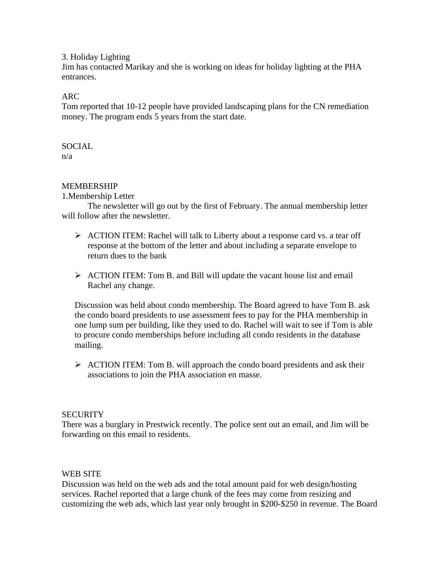#### 3. Holiday Lighting

Jim has contacted Marikay and she is working on ideas for holiday lighting at the PHA entrances.

### ARC

Tom reported that 10-12 people have provided landscaping plans for the CN remediation money. The program ends 5 years from the start date.

# **SOCIAL**

n/a

# MEMBERSHIP

1.Membership Letter

 The newsletter will go out by the first of February. The annual membership letter will follow after the newsletter.

- ¾ ACTION ITEM: Rachel will talk to Liberty about a response card vs. a tear off response at the bottom of the letter and about including a separate envelope to return dues to the bank
- $\triangleright$  ACTION ITEM: Tom B. and Bill will update the vacant house list and email Rachel any change.

Discussion was held about condo membership. The Board agreed to have Tom B. ask the condo board presidents to use assessment fees to pay for the PHA membership in one lump sum per building, like they used to do. Rachel will wait to see if Tom is able to procure condo memberships before including all condo residents in the database mailing.

 $\triangleright$  ACTION ITEM: Tom B. will approach the condo board presidents and ask their associations to join the PHA association en masse.

#### **SECURITY**

There was a burglary in Prestwick recently. The police sent out an email, and Jim will be forwarding on this email to residents.

#### WEB SITE

Discussion was held on the web ads and the total amount paid for web design/hosting services. Rachel reported that a large chunk of the fees may come from resizing and customizing the web ads, which last year only brought in \$200-\$250 in revenue. The Board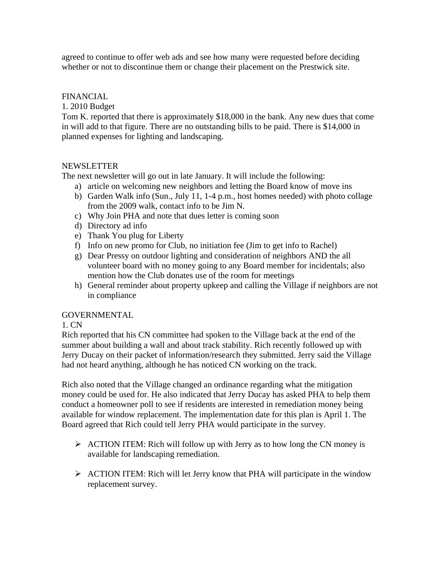agreed to continue to offer web ads and see how many were requested before deciding whether or not to discontinue them or change their placement on the Prestwick site.

#### FINANCIAL

1. 2010 Budget

Tom K. reported that there is approximately \$18,000 in the bank. Any new dues that come in will add to that figure. There are no outstanding bills to be paid. There is \$14,000 in planned expenses for lighting and landscaping.

# NEWSLETTER

The next newsletter will go out in late January. It will include the following:

- a) article on welcoming new neighbors and letting the Board know of move ins
- b) Garden Walk info (Sun., July 11, 1-4 p.m., host homes needed) with photo collage from the 2009 walk, contact info to be Jim N.
- c) Why Join PHA and note that dues letter is coming soon
- d) Directory ad info
- e) Thank You plug for Liberty
- f) Info on new promo for Club, no initiation fee (Jim to get info to Rachel)
- g) Dear Pressy on outdoor lighting and consideration of neighbors AND the all volunteer board with no money going to any Board member for incidentals; also mention how the Club donates use of the room for meetings
- h) General reminder about property upkeep and calling the Village if neighbors are not in compliance

#### GOVERNMENTAL

#### 1. CN

Rich reported that his CN committee had spoken to the Village back at the end of the summer about building a wall and about track stability. Rich recently followed up with Jerry Ducay on their packet of information/research they submitted. Jerry said the Village had not heard anything, although he has noticed CN working on the track.

Rich also noted that the Village changed an ordinance regarding what the mitigation money could be used for. He also indicated that Jerry Ducay has asked PHA to help them conduct a homeowner poll to see if residents are interested in remediation money being available for window replacement. The implementation date for this plan is April 1. The Board agreed that Rich could tell Jerry PHA would participate in the survey.

- $\triangleright$  ACTION ITEM: Rich will follow up with Jerry as to how long the CN money is available for landscaping remediation.
- $\triangleright$  ACTION ITEM: Rich will let Jerry know that PHA will participate in the window replacement survey.